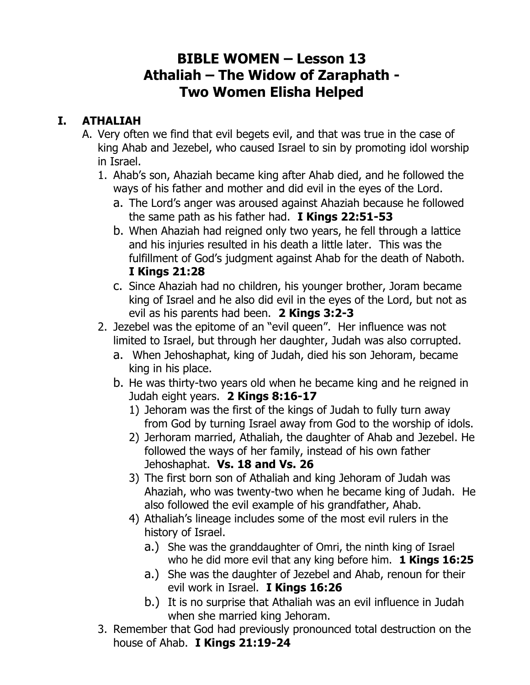## **BIBLE WOMEN – Lesson 13 Athaliah – The Widow of Zaraphath - Two Women Elisha Helped**

## **I. ATHALIAH**

- A. Very often we find that evil begets evil, and that was true in the case of king Ahab and Jezebel, who caused Israel to sin by promoting idol worship in Israel.
	- 1. Ahab's son, Ahaziah became king after Ahab died, and he followed the ways of his father and mother and did evil in the eyes of the Lord.
		- a. The Lord's anger was aroused against Ahaziah because he followed the same path as his father had. **I Kings 22:51-53**
		- b. When Ahaziah had reigned only two years, he fell through a lattice and his injuries resulted in his death a little later. This was the fulfillment of God's judgment against Ahab for the death of Naboth. **I Kings 21:28**
		- c. Since Ahaziah had no children, his younger brother, Joram became king of Israel and he also did evil in the eyes of the Lord, but not as evil as his parents had been. **2 Kings 3:2-3**
	- 2. Jezebel was the epitome of an "evil queen". Her influence was not limited to Israel, but through her daughter, Judah was also corrupted.
		- a. When Jehoshaphat, king of Judah, died his son Jehoram, became king in his place.
		- b. He was thirty-two years old when he became king and he reigned in Judah eight years. **2 Kings 8:16-17**
			- 1) Jehoram was the first of the kings of Judah to fully turn away from God by turning Israel away from God to the worship of idols.
			- 2) Jerhoram married, Athaliah, the daughter of Ahab and Jezebel. He followed the ways of her family, instead of his own father Jehoshaphat. **Vs. 18 and Vs. 26**
			- 3) The first born son of Athaliah and king Jehoram of Judah was Ahaziah, who was twenty-two when he became king of Judah. He also followed the evil example of his grandfather, Ahab.
			- 4) Athaliah's lineage includes some of the most evil rulers in the history of Israel.
				- a.) She was the granddaughter of Omri, the ninth king of Israel who he did more evil that any king before him. **1 Kings 16:25**
				- a.) She was the daughter of Jezebel and Ahab, renoun for their evil work in Israel. **I Kings 16:26**
				- b.) It is no surprise that Athaliah was an evil influence in Judah when she married king Jehoram.
	- 3. Remember that God had previously pronounced total destruction on the house of Ahab. **I Kings 21:19-24**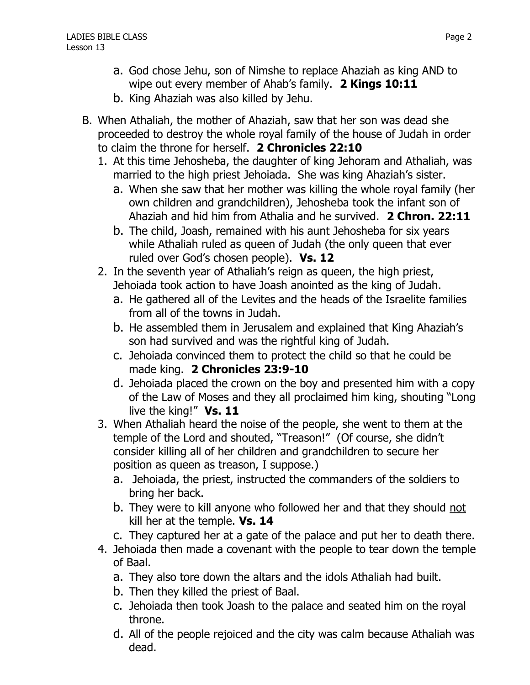- a. God chose Jehu, son of Nimshe to replace Ahaziah as king AND to wipe out every member of Ahab's family. **2 Kings 10:11**
- b. King Ahaziah was also killed by Jehu.
- B. When Athaliah, the mother of Ahaziah, saw that her son was dead she proceeded to destroy the whole royal family of the house of Judah in order to claim the throne for herself. **2 Chronicles 22:10**
	- 1. At this time Jehosheba, the daughter of king Jehoram and Athaliah, was married to the high priest Jehoiada. She was king Ahaziah's sister.
		- a. When she saw that her mother was killing the whole royal family (her own children and grandchildren), Jehosheba took the infant son of Ahaziah and hid him from Athalia and he survived. **2 Chron. 22:11**
		- b. The child, Joash, remained with his aunt Jehosheba for six years while Athaliah ruled as queen of Judah (the only queen that ever ruled over God's chosen people). **Vs. 12**
	- 2. In the seventh year of Athaliah's reign as queen, the high priest, Jehoiada took action to have Joash anointed as the king of Judah.
		- a. He gathered all of the Levites and the heads of the Israelite families from all of the towns in Judah.
		- b. He assembled them in Jerusalem and explained that King Ahaziah's son had survived and was the rightful king of Judah.
		- c. Jehoiada convinced them to protect the child so that he could be made king. **2 Chronicles 23:9-10**
		- d. Jehoiada placed the crown on the boy and presented him with a copy of the Law of Moses and they all proclaimed him king, shouting "Long live the king!" **Vs. 11**
	- 3. When Athaliah heard the noise of the people, she went to them at the temple of the Lord and shouted, "Treason!" (Of course, she didn't consider killing all of her children and grandchildren to secure her position as queen as treason, I suppose.)
		- a. Jehoiada, the priest, instructed the commanders of the soldiers to bring her back.
		- b. They were to kill anyone who followed her and that they should not kill her at the temple. **Vs. 14**
		- c. They captured her at a gate of the palace and put her to death there.
	- 4. Jehoiada then made a covenant with the people to tear down the temple of Baal.
		- a. They also tore down the altars and the idols Athaliah had built.
		- b. Then they killed the priest of Baal.
		- c. Jehoiada then took Joash to the palace and seated him on the royal throne.
		- d. All of the people rejoiced and the city was calm because Athaliah was dead.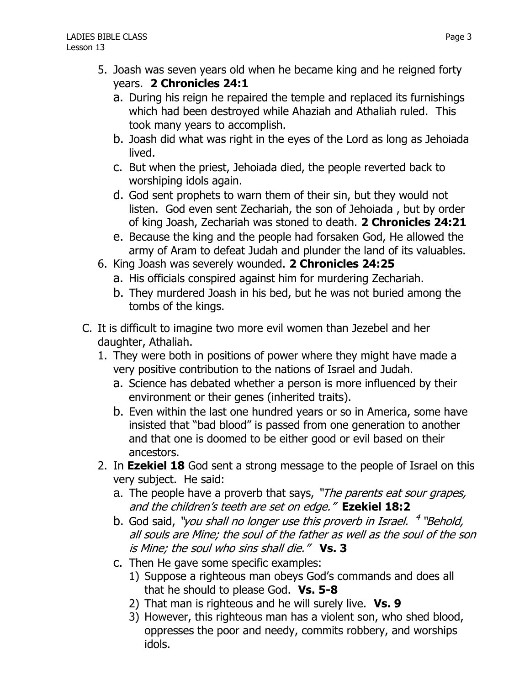- a. During his reign he repaired the temple and replaced its furnishings which had been destroyed while Ahaziah and Athaliah ruled. This took many years to accomplish.
- b. Joash did what was right in the eyes of the Lord as long as Jehoiada lived.
- c. But when the priest, Jehoiada died, the people reverted back to worshiping idols again.
- d. God sent prophets to warn them of their sin, but they would not listen. God even sent Zechariah, the son of Jehoiada , but by order of king Joash, Zechariah was stoned to death. **2 Chronicles 24:21**
- e. Because the king and the people had forsaken God, He allowed the army of Aram to defeat Judah and plunder the land of its valuables.
- 6. King Joash was severely wounded. **2 Chronicles 24:25** 
	- a. His officials conspired against him for murdering Zechariah.
	- b. They murdered Joash in his bed, but he was not buried among the tombs of the kings.
- C. It is difficult to imagine two more evil women than Jezebel and her daughter, Athaliah.
	- 1. They were both in positions of power where they might have made a very positive contribution to the nations of Israel and Judah.
		- a. Science has debated whether a person is more influenced by their environment or their genes (inherited traits).
		- b. Even within the last one hundred years or so in America, some have insisted that "bad blood" is passed from one generation to another and that one is doomed to be either good or evil based on their ancestors.
	- 2. In **Ezekiel 18** God sent a strong message to the people of Israel on this very subject. He said:
		- a. The people have a proverb that says, "The parents eat sour grapes, and the children's teeth are set on edge." **Ezekiel 18:2**
		- b. God said, "you shall no longer use this proverb in Israel. <sup>4</sup> "Behold, all souls are Mine; the soul of the father as well as the soul of the son is Mine; the soul who sins shall die." **Vs. 3**
		- c. Then He gave some specific examples:
			- 1) Suppose a righteous man obeys God's commands and does all that he should to please God. **Vs. 5-8**
			- 2) That man is righteous and he will surely live. **Vs. 9**
			- 3) However, this righteous man has a violent son, who shed blood, oppresses the poor and needy, commits robbery, and worships idols.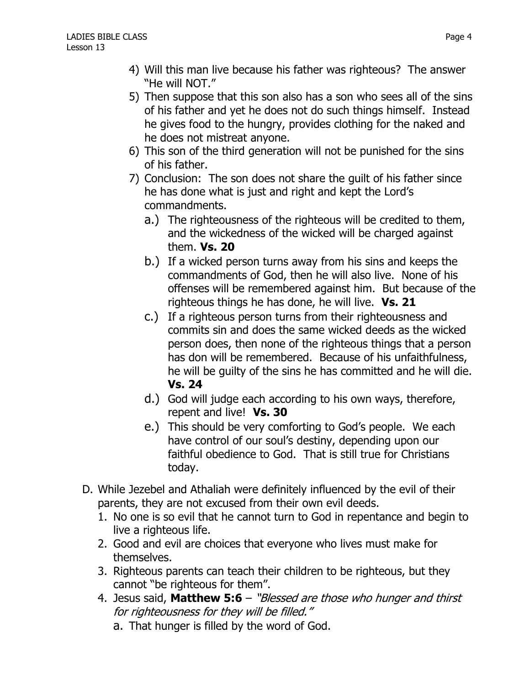- 4) Will this man live because his father was righteous? The answer "He will NOT."
- 5) Then suppose that this son also has a son who sees all of the sins of his father and yet he does not do such things himself. Instead he gives food to the hungry, provides clothing for the naked and he does not mistreat anyone.
- 6) This son of the third generation will not be punished for the sins of his father.
- 7) Conclusion: The son does not share the guilt of his father since he has done what is just and right and kept the Lord's commandments.
	- a.) The righteousness of the righteous will be credited to them, and the wickedness of the wicked will be charged against them. **Vs. 20**
	- b.) If a wicked person turns away from his sins and keeps the commandments of God, then he will also live. None of his offenses will be remembered against him. But because of the righteous things he has done, he will live. **Vs. 21**
	- c.) If a righteous person turns from their righteousness and commits sin and does the same wicked deeds as the wicked person does, then none of the righteous things that a person has don will be remembered. Because of his unfaithfulness, he will be guilty of the sins he has committed and he will die. **Vs. 24**
	- d.) God will judge each according to his own ways, therefore, repent and live! **Vs. 30**
	- e.) This should be very comforting to God's people. We each have control of our soul's destiny, depending upon our faithful obedience to God. That is still true for Christians today.
- D. While Jezebel and Athaliah were definitely influenced by the evil of their parents, they are not excused from their own evil deeds.
	- 1. No one is so evil that he cannot turn to God in repentance and begin to live a righteous life.
	- 2. Good and evil are choices that everyone who lives must make for themselves.
	- 3. Righteous parents can teach their children to be righteous, but they cannot "be righteous for them".
	- 4. Jesus said, **Matthew 5:6** "Blessed are those who hunger and thirst for righteousness for they will be filled."
		- a. That hunger is filled by the word of God.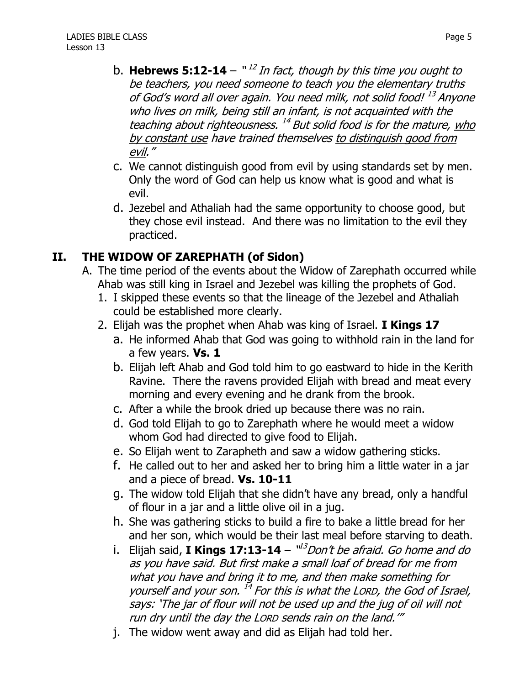- b. **Hebrews 5:12-14** " 12 In fact, though by this time you ought to be teachers, you need someone to teach you the elementary truths of God's word all over again. You need milk, not solid food! <sup>13</sup> Anyone who lives on milk, being still an infant, is not acquainted with the teaching about righteousness. <sup>14</sup> But solid food is for the mature, who by constant use have trained themselves to distinguish good from evil."
- c. We cannot distinguish good from evil by using standards set by men. Only the word of God can help us know what is good and what is evil.
- d. Jezebel and Athaliah had the same opportunity to choose good, but they chose evil instead. And there was no limitation to the evil they practiced.

## **II. THE WIDOW OF ZAREPHATH (of Sidon)**

- A. The time period of the events about the Widow of Zarephath occurred while Ahab was still king in Israel and Jezebel was killing the prophets of God.
	- 1. I skipped these events so that the lineage of the Jezebel and Athaliah could be established more clearly.
	- 2. Elijah was the prophet when Ahab was king of Israel. **I Kings 17**
		- a. He informed Ahab that God was going to withhold rain in the land for a few years. **Vs. 1**
		- b. Elijah left Ahab and God told him to go eastward to hide in the Kerith Ravine. There the ravens provided Elijah with bread and meat every morning and every evening and he drank from the brook.
		- c. After a while the brook dried up because there was no rain.
		- d. God told Elijah to go to Zarephath where he would meet a widow whom God had directed to give food to Elijah.
		- e. So Elijah went to Zarapheth and saw a widow gathering sticks.
		- f. He called out to her and asked her to bring him a little water in a jar and a piece of bread. **Vs. 10-11**
		- g. The widow told Elijah that she didn't have any bread, only a handful of flour in a jar and a little olive oil in a jug.
		- h. She was gathering sticks to build a fire to bake a little bread for her and her son, which would be their last meal before starving to death.
		- i. Elijah said, **I Kings 17:13-14** "<sup>13</sup>Don't be afraid. Go home and do as you have said. But first make a small loaf of bread for me from what you have and bring it to me, and then make something for yourself and your son. 14 For this is what the LORD, the God of Israel, says: 'The jar of flour will not be used up and the jug of oil will not run dry until the day the LORD sends rain on the land.'"
		- j. The widow went away and did as Elijah had told her.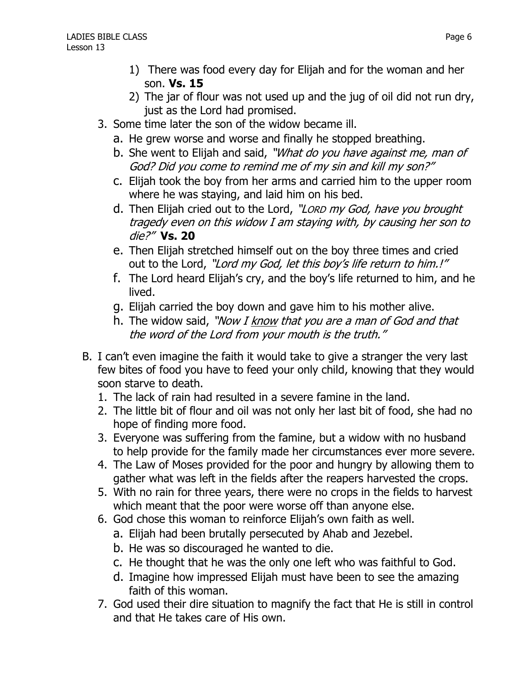- 1) There was food every day for Elijah and for the woman and her son. **Vs. 15**
- 2) The jar of flour was not used up and the jug of oil did not run dry, just as the Lord had promised.
- 3. Some time later the son of the widow became ill.
	- a. He grew worse and worse and finally he stopped breathing.
	- b. She went to Elijah and said, "What do you have against me, man of God? Did you come to remind me of my sin and kill my son?"
	- c. Elijah took the boy from her arms and carried him to the upper room where he was staying, and laid him on his bed.
	- d. Then Elijah cried out to the Lord, "Lorp my God, have you brought tragedy even on this widow I am staying with, by causing her son to die?" **Vs. 20**
	- e. Then Elijah stretched himself out on the boy three times and cried out to the Lord, "Lord my God, let this boy's life return to him.!"
	- f. The Lord heard Elijah's cry, and the boy's life returned to him, and he lived.
	- g. Elijah carried the boy down and gave him to his mother alive.
	- h. The widow said, "Now I know that you are a man of God and that the word of the Lord from your mouth is the truth."
- B. I can't even imagine the faith it would take to give a stranger the very last few bites of food you have to feed your only child, knowing that they would soon starve to death.
	- 1. The lack of rain had resulted in a severe famine in the land.
	- 2. The little bit of flour and oil was not only her last bit of food, she had no hope of finding more food.
	- 3. Everyone was suffering from the famine, but a widow with no husband to help provide for the family made her circumstances ever more severe.
	- 4. The Law of Moses provided for the poor and hungry by allowing them to gather what was left in the fields after the reapers harvested the crops.
	- 5. With no rain for three years, there were no crops in the fields to harvest which meant that the poor were worse off than anyone else.
	- 6. God chose this woman to reinforce Elijah's own faith as well.
		- a. Elijah had been brutally persecuted by Ahab and Jezebel.
		- b. He was so discouraged he wanted to die.
		- c. He thought that he was the only one left who was faithful to God.
		- d. Imagine how impressed Elijah must have been to see the amazing faith of this woman.
	- 7. God used their dire situation to magnify the fact that He is still in control and that He takes care of His own.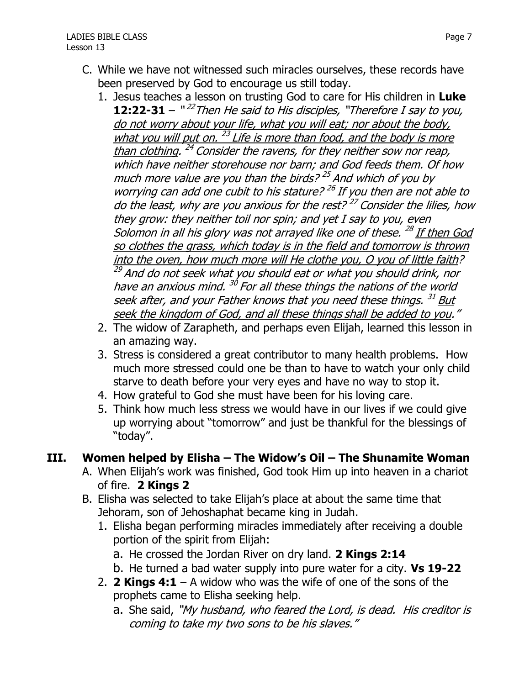- C. While we have not witnessed such miracles ourselves, these records have been preserved by God to encourage us still today.
	- 1. Jesus teaches a lesson on trusting God to care for His children in **Luke 12:22-31** – "<sup>22</sup>Then He said to His disciples, "Therefore I say to you, do not worry about your life, what you will eat; nor about the body, what you will put on. <sup>23</sup> Life is more than food, and the body is more than clothing. <sup>24</sup> Consider the ravens, for they neither sow nor reap, which have neither storehouse nor barn; and God feeds them. Of how much more value are you than the birds? <sup>25</sup> And which of you by worrying can add one cubit to his stature? <sup>26</sup> If you then are not able to do the least, why are you anxious for the rest?<sup>27</sup> Consider the lilies, how they grow: they neither toil nor spin; and yet I say to you, even Solomon in all his glory was not arrayed like one of these. <sup>28</sup> <u>If then God</u> so clothes the grass, which today is in the field and tomorrow is thrown into the oven, how much more will He clothe you, O you of little faith? <sup>29</sup> And do not seek what you should eat or what you should drink, nor have an anxious mind. <sup>30</sup> For all these things the nations of the world seek after, and your Father knows that you need these things.  $^{31}$  But seek the kingdom of God, and all these things shall be added to you."
	- 2. The widow of Zarapheth, and perhaps even Elijah, learned this lesson in an amazing way.
	- 3. Stress is considered a great contributor to many health problems. How much more stressed could one be than to have to watch your only child starve to death before your very eyes and have no way to stop it.
	- 4. How grateful to God she must have been for his loving care.
	- 5. Think how much less stress we would have in our lives if we could give up worrying about "tomorrow" and just be thankful for the blessings of "today".

## **III. Women helped by Elisha – The Widow's Oil – The Shunamite Woman**

- A. When Elijah's work was finished, God took Him up into heaven in a chariot of fire. **2 Kings 2**
- B. Elisha was selected to take Elijah's place at about the same time that Jehoram, son of Jehoshaphat became king in Judah.
	- 1. Elisha began performing miracles immediately after receiving a double portion of the spirit from Elijah:
		- a. He crossed the Jordan River on dry land. **2 Kings 2:14**
		- b. He turned a bad water supply into pure water for a city. **Vs 19-22**
	- 2. **2 Kings 4:1** A widow who was the wife of one of the sons of the prophets came to Elisha seeking help.
		- a. She said, "My husband, who feared the Lord, is dead. His creditor is coming to take my two sons to be his slaves."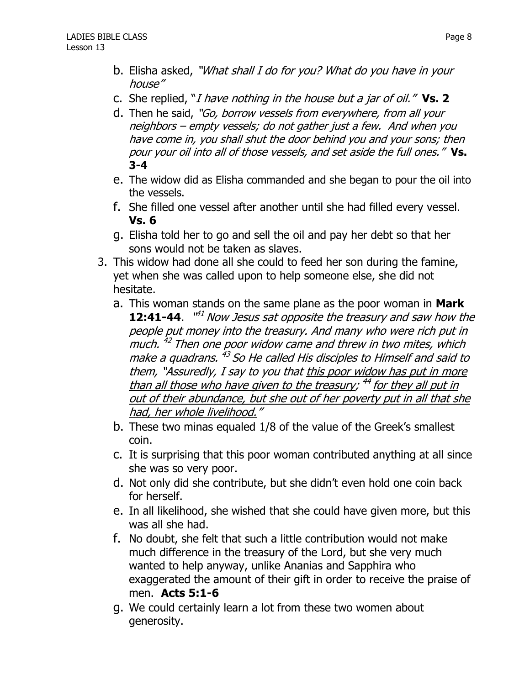- b. Elisha asked, "What shall I do for you? What do you have in your house"
- c. She replied, "I have nothing in the house but a jar of oil." **Vs. 2**
- d. Then he said, "Go, borrow vessels from everywhere, from all your neighbors – empty vessels; do not gather just a few. And when you have come in, you shall shut the door behind you and your sons; then pour your oil into all of those vessels, and set aside the full ones." **Vs. 3-4**
- e. The widow did as Elisha commanded and she began to pour the oil into the vessels.
- f. She filled one vessel after another until she had filled every vessel. **Vs. 6**
- g. Elisha told her to go and sell the oil and pay her debt so that her sons would not be taken as slaves.
- 3. This widow had done all she could to feed her son during the famine, yet when she was called upon to help someone else, she did not hesitate.
	- a. This woman stands on the same plane as the poor woman in **Mark 12:41-44.** "<sup>41</sup> Now Jesus sat opposite the treasury and saw how the people put money into the treasury. And many who were rich put in much. <sup>42</sup> Then one poor widow came and threw in two mites, which make a quadrans. <sup>43</sup> So He called His disciples to Himself and said to them, "Assuredly, I say to you that this poor widow has put in more than all those who have given to the treasury; <sup>44</sup> for they all put in out of their abundance, but she out of her poverty put in all that she had, her whole livelihood."
	- b. These two minas equaled 1/8 of the value of the Greek's smallest coin.
	- c. It is surprising that this poor woman contributed anything at all since she was so very poor.
	- d. Not only did she contribute, but she didn't even hold one coin back for herself.
	- e. In all likelihood, she wished that she could have given more, but this was all she had.
	- f. No doubt, she felt that such a little contribution would not make much difference in the treasury of the Lord, but she very much wanted to help anyway, unlike Ananias and Sapphira who exaggerated the amount of their gift in order to receive the praise of men. **Acts 5:1-6**
	- g. We could certainly learn a lot from these two women about generosity.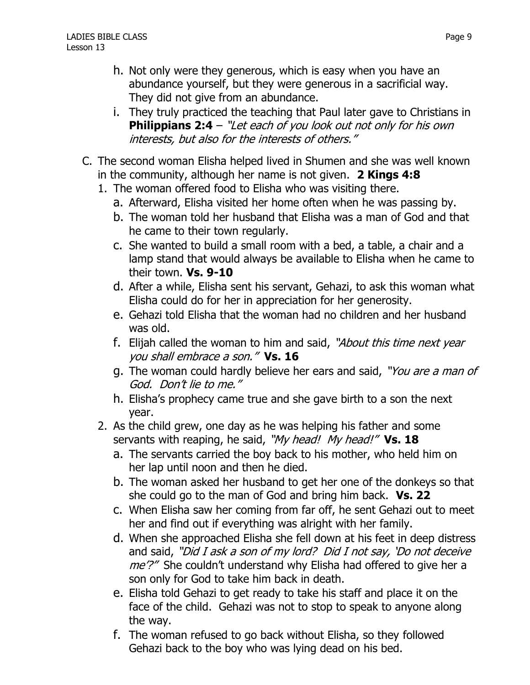- h. Not only were they generous, which is easy when you have an abundance yourself, but they were generous in a sacrificial way. They did not give from an abundance.
- i. They truly practiced the teaching that Paul later gave to Christians in **Philippians 2:4** – "Let each of you look out not only for his own interests, but also for the interests of others."
- C. The second woman Elisha helped lived in Shumen and she was well known in the community, although her name is not given. **2 Kings 4:8**
	- 1. The woman offered food to Elisha who was visiting there.
		- a. Afterward, Elisha visited her home often when he was passing by.
		- b. The woman told her husband that Elisha was a man of God and that he came to their town regularly.
		- c. She wanted to build a small room with a bed, a table, a chair and a lamp stand that would always be available to Elisha when he came to their town. **Vs. 9-10**
		- d. After a while, Elisha sent his servant, Gehazi, to ask this woman what Elisha could do for her in appreciation for her generosity.
		- e. Gehazi told Elisha that the woman had no children and her husband was old.
		- f. Elijah called the woman to him and said, "About this time next year you shall embrace a son." **Vs. 16**
		- g. The woman could hardly believe her ears and said, "You are a man of God. Don't lie to me."
		- h. Elisha's prophecy came true and she gave birth to a son the next year.
	- 2. As the child grew, one day as he was helping his father and some servants with reaping, he said, "My head! My head!" Vs. 18
		- a. The servants carried the boy back to his mother, who held him on her lap until noon and then he died.
		- b. The woman asked her husband to get her one of the donkeys so that she could go to the man of God and bring him back. **Vs. 22**
		- c. When Elisha saw her coming from far off, he sent Gehazi out to meet her and find out if everything was alright with her family.
		- d. When she approached Elisha she fell down at his feet in deep distress and said, "Did I ask a son of my lord? Did I not say, 'Do not deceive *me'?"* She couldn't understand why Elisha had offered to give her a son only for God to take him back in death.
		- e. Elisha told Gehazi to get ready to take his staff and place it on the face of the child. Gehazi was not to stop to speak to anyone along the way.
		- f. The woman refused to go back without Elisha, so they followed Gehazi back to the boy who was lying dead on his bed.